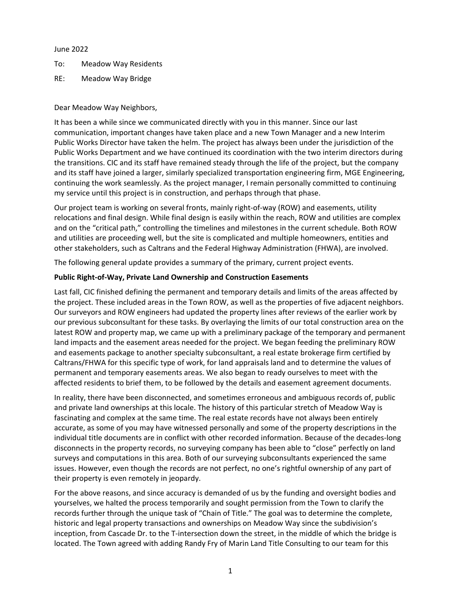### June 2022

- To: Meadow Way Residents
- RE: Meadow Way Bridge

# Dear Meadow Way Neighbors,

It has been a while since we communicated directly with you in this manner. Since our last communication, important changes have taken place and a new Town Manager and a new Interim Public Works Director have taken the helm. The project has always been under the jurisdiction of the Public Works Department and we have continued its coordination with the two interim directors during the transitions. CIC and its staff have remained steady through the life of the project, but the company and its staff have joined a larger, similarly specialized transportation engineering firm, MGE Engineering, continuing the work seamlessly. As the project manager, I remain personally committed to continuing my service until this project is in construction, and perhaps through that phase.

Our project team is working on several fronts, mainly right-of-way (ROW) and easements, utility relocations and final design. While final design is easily within the reach, ROW and utilities are complex and on the "critical path," controlling the timelines and milestones in the current schedule. Both ROW and utilities are proceeding well, but the site is complicated and multiple homeowners, entities and other stakeholders, such as Caltrans and the Federal Highway Administration (FHWA), are involved.

The following general update provides a summary of the primary, current project events.

# **Public Right-of-Way, Private Land Ownership and Construction Easements**

Last fall, CIC finished defining the permanent and temporary details and limits of the areas affected by the project. These included areas in the Town ROW, as well as the properties of five adjacent neighbors. Our surveyors and ROW engineers had updated the property lines after reviews of the earlier work by our previous subconsultant for these tasks. By overlaying the limits of our total construction area on the latest ROW and property map, we came up with a preliminary package of the temporary and permanent land impacts and the easement areas needed for the project. We began feeding the preliminary ROW and easements package to another specialty subconsultant, a real estate brokerage firm certified by Caltrans/FHWA for this specific type of work, for land appraisals land and to determine the values of permanent and temporary easements areas. We also began to ready ourselves to meet with the affected residents to brief them, to be followed by the details and easement agreement documents.

In reality, there have been disconnected, and sometimes erroneous and ambiguous records of, public and private land ownerships at this locale. The history of this particular stretch of Meadow Way is fascinating and complex at the same time. The real estate records have not always been entirely accurate, as some of you may have witnessed personally and some of the property descriptions in the individual title documents are in conflict with other recorded information. Because of the decades-long disconnects in the property records, no surveying company has been able to "close" perfectly on land surveys and computations in this area. Both of our surveying subconsultants experienced the same issues. However, even though the records are not perfect, no one's rightful ownership of any part of their property is even remotely in jeopardy.

For the above reasons, and since accuracy is demanded of us by the funding and oversight bodies and yourselves, we halted the process temporarily and sought permission from the Town to clarify the records further through the unique task of "Chain of Title." The goal was to determine the complete, historic and legal property transactions and ownerships on Meadow Way since the subdivision's inception, from Cascade Dr. to the T-intersection down the street, in the middle of which the bridge is located. The Town agreed with adding Randy Fry of Marin Land Title Consulting to our team for this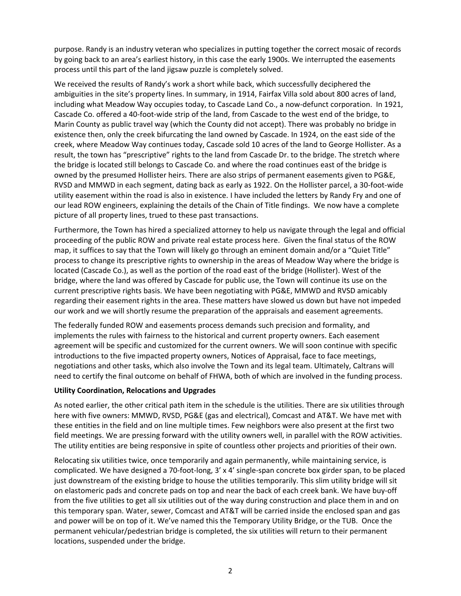purpose. Randy is an industry veteran who specializes in putting together the correct mosaic of records by going back to an area's earliest history, in this case the early 1900s. We interrupted the easements process until this part of the land jigsaw puzzle is completely solved.

We received the results of Randy's work a short while back, which successfully deciphered the ambiguities in the site's property lines. In summary, in 1914, Fairfax Villa sold about 800 acres of land, including what Meadow Way occupies today, to Cascade Land Co., a now-defunct corporation. In 1921, Cascade Co. offered a 40-foot-wide strip of the land, from Cascade to the west end of the bridge, to Marin County as public travel way (which the County did not accept). There was probably no bridge in existence then, only the creek bifurcating the land owned by Cascade. In 1924, on the east side of the creek, where Meadow Way continues today, Cascade sold 10 acres of the land to George Hollister. As a result, the town has "prescriptive" rights to the land from Cascade Dr. to the bridge. The stretch where the bridge is located still belongs to Cascade Co. and where the road continues east of the bridge is owned by the presumed Hollister heirs. There are also strips of permanent easements given to PG&E, RVSD and MMWD in each segment, dating back as early as 1922. On the Hollister parcel, a 30-foot-wide utility easement within the road is also in existence. I have included the letters by Randy Fry and one of our lead ROW engineers, explaining the details of the Chain of Title findings. We now have a complete picture of all property lines, trued to these past transactions.

Furthermore, the Town has hired a specialized attorney to help us navigate through the legal and official proceeding of the public ROW and private real estate process here. Given the final status of the ROW map, it suffices to say that the Town will likely go through an eminent domain and/or a "Quiet Title" process to change its prescriptive rights to ownership in the areas of Meadow Way where the bridge is located (Cascade Co.), as well as the portion of the road east of the bridge (Hollister). West of the bridge, where the land was offered by Cascade for public use, the Town will continue its use on the current prescriptive rights basis. We have been negotiating with PG&E, MMWD and RVSD amicably regarding their easement rights in the area. These matters have slowed us down but have not impeded our work and we will shortly resume the preparation of the appraisals and easement agreements.

The federally funded ROW and easements process demands such precision and formality, and implements the rules with fairness to the historical and current property owners. Each easement agreement will be specific and customized for the current owners. We will soon continue with specific introductions to the five impacted property owners, Notices of Appraisal, face to face meetings, negotiations and other tasks, which also involve the Town and its legal team. Ultimately, Caltrans will need to certify the final outcome on behalf of FHWA, both of which are involved in the funding process.

# **Utility Coordination, Relocations and Upgrades**

As noted earlier, the other critical path item in the schedule is the utilities. There are six utilities through here with five owners: MMWD, RVSD, PG&E (gas and electrical), Comcast and AT&T. We have met with these entities in the field and on line multiple times. Few neighbors were also present at the first two field meetings. We are pressing forward with the utility owners well, in parallel with the ROW activities. The utility entities are being responsive in spite of countless other projects and priorities of their own.

Relocating six utilities twice, once temporarily and again permanently, while maintaining service, is complicated. We have designed a 70-foot-long, 3' x 4' single-span concrete box girder span, to be placed just downstream of the existing bridge to house the utilities temporarily. This slim utility bridge will sit on elastomeric pads and concrete pads on top and near the back of each creek bank. We have buy-off from the five utilities to get all six utilities out of the way during construction and place them in and on this temporary span. Water, sewer, Comcast and AT&T will be carried inside the enclosed span and gas and power will be on top of it. We've named this the Temporary Utility Bridge, or the TUB. Once the permanent vehicular/pedestrian bridge is completed, the six utilities will return to their permanent locations, suspended under the bridge.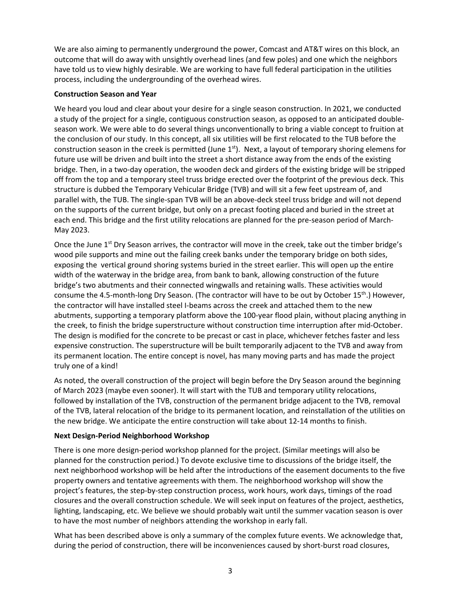We are also aiming to permanently underground the power, Comcast and AT&T wires on this block, an outcome that will do away with unsightly overhead lines (and few poles) and one which the neighbors have told us to view highly desirable. We are working to have full federal participation in the utilities process, including the undergrounding of the overhead wires.

### **Construction Season and Year**

We heard you loud and clear about your desire for a single season construction. In 2021, we conducted a study of the project for a single, contiguous construction season, as opposed to an anticipated doubleseason work. We were able to do several things unconventionally to bring a viable concept to fruition at the conclusion of our study. In this concept, all six utilities will be first relocated to the TUB before the construction season in the creek is permitted (June  $1<sup>st</sup>$ ). Next, a layout of temporary shoring elemens for future use will be driven and built into the street a short distance away from the ends of the existing bridge. Then, in a two-day operation, the wooden deck and girders of the existing bridge will be stripped off from the top and a temporary steel truss bridge erected over the footprint of the previous deck. This structure is dubbed the Temporary Vehicular Bridge (TVB) and will sit a few feet upstream of, and parallel with, the TUB. The single-span TVB will be an above-deck steel truss bridge and will not depend on the supports of the current bridge, but only on a precast footing placed and buried in the street at each end. This bridge and the first utility relocations are planned for the pre-season period of March-May 2023.

Once the June 1<sup>st</sup> Dry Season arrives, the contractor will move in the creek, take out the timber bridge's wood pile supports and mine out the failing creek banks under the temporary bridge on both sides, exposing the vertical ground shoring systems buried in the street earlier. This will open up the entire width of the waterway in the bridge area, from bank to bank, allowing construction of the future bridge's two abutments and their connected wingwalls and retaining walls. These activities would consume the 4.5-month-long Dry Season. (The contractor will have to be out by October 15<sup>th</sup>.) However, the contractor will have installed steel I-beams across the creek and attached them to the new abutments, supporting a temporary platform above the 100-year flood plain, without placing anything in the creek, to finish the bridge superstructure without construction time interruption after mid-October. The design is modified for the concrete to be precast or cast in place, whichever fetches faster and less expensive construction. The superstructure will be built temporarily adjacent to the TVB and away from its permanent location. The entire concept is novel, has many moving parts and has made the project truly one of a kind!

As noted, the overall construction of the project will begin before the Dry Season around the beginning of March 2023 (maybe even sooner). It will start with the TUB and temporary utility relocations, followed by installation of the TVB, construction of the permanent bridge adjacent to the TVB, removal of the TVB, lateral relocation of the bridge to its permanent location, and reinstallation of the utilities on the new bridge. We anticipate the entire construction will take about 12-14 months to finish.

# **Next Design-Period Neighborhood Workshop**

There is one more design-period workshop planned for the project. (Similar meetings will also be planned for the construction period.) To devote exclusive time to discussions of the bridge itself, the next neighborhood workshop will be held after the introductions of the easement documents to the five property owners and tentative agreements with them. The neighborhood workshop will show the project's features, the step-by-step construction process, work hours, work days, timings of the road closures and the overall construction schedule. We will seek input on features of the project, aesthetics, lighting, landscaping, etc. We believe we should probably wait until the summer vacation season is over to have the most number of neighbors attending the workshop in early fall.

What has been described above is only a summary of the complex future events. We acknowledge that, during the period of construction, there will be inconveniences caused by short-burst road closures,